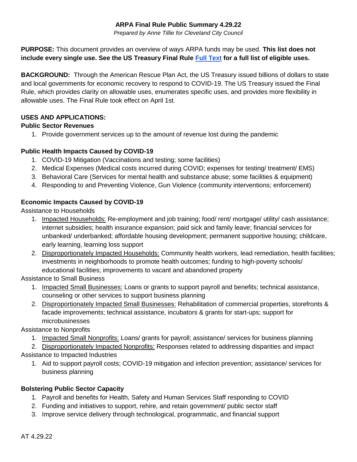### **ARPA Final Rule Public Summary 4.29.22**

*Prepared by Anne Tillie for Cleveland City Council*

**PURPOSE:** This document provides an overview of ways ARPA funds may be used. **This list does not include every single use. See the US Treasury Final Rule [Full Text](https://home.treasury.gov/system/files/136/SLFRF-Final-Rule.pdf) for a full list of eligible uses.**

**BACKGROUND:** Through the American Rescue Plan Act, the US Treasury issued billions of dollars to state and local governments for economic recovery to respond to COVID-19. The US Treasury issued the Final Rule, which provides clarity on allowable uses, enumerates specific uses, and provides more flexibility in allowable uses. The Final Rule took effect on April 1st.

### **USES AND APPLICATIONS:**

### **Public Sector Revenues**

1. Provide government services up to the amount of revenue lost during the pandemic

## **Public Health Impacts Caused by COVID-19**

- 1. COVID-19 Mitigation (Vaccinations and testing; some facilities)
- 2. Medical Expenses (Medical costs incurred during COVID; expenses for testing/ treatment/ EMS)
- 3. Behavioral Care (Services for mental health and substance abuse; some facilities & equipment)
- 4. Responding to and Preventing Violence, Gun Violence (community interventions; enforcement)

## **Economic Impacts Caused by COVID-19**

Assistance to Households

- 1. Impacted Households: Re-employment and job training; food/ rent/ mortgage/ utility/ cash assistance; internet subsidies; health insurance expansion; paid sick and family leave; financial services for unbanked/ underbanked; affordable housing development; permanent supportive housing; childcare, early learning, learning loss support
- 2. Disproportionately Impacted Households: Community health workers, lead remediation, health facilities; investments in neighborhoods to promote health outcomes; funding to high-poverty schools/ educational facilities; improvements to vacant and abandoned property

Assistance to Small Business

- 1. Impacted Small Businesses: Loans or grants to support payroll and benefits; technical assistance, counseling or other services to support business planning
- 2. Disproportionately Impacted Small Businesses: Rehabilitation of commercial properties, storefronts & facade improvements; technical assistance, incubators & grants for start-ups; support for microbusinesses

Assistance to Nonprofits

1. Impacted Small Nonprofits: Loans/ grants for payroll; assistance/ services for business planning

2. Disproportionately Impacted Nonprofits: Responses related to addressing disparities and impact

- Assistance to Impacted Industries
	- 1. Aid to support payroll costs; COVID-19 mitigation and infection prevention; assistance/ services for business planning

# **Bolstering Public Sector Capacity**

- 1. Payroll and benefits for Health, Safety and Human Services Staff responding to COVID
- 2. Funding and initiatives to support, rehire, and retain government/ public sector staff
- 3. Improve service delivery through technological, programmatic, and financial support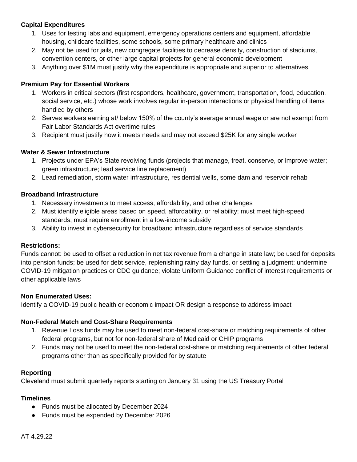### **Capital Expenditures**

- 1. Uses for testing labs and equipment, emergency operations centers and equipment, affordable housing, childcare facilities, some schools, some primary healthcare and clinics
- 2. May not be used for jails, new congregate facilities to decrease density, construction of stadiums, convention centers, or other large capital projects for general economic development
- 3. Anything over \$1M must justify why the expenditure is appropriate and superior to alternatives.

### **Premium Pay for Essential Workers**

- 1. Workers in critical sectors (first responders, healthcare, government, transportation, food, education, social service, etc.) whose work involves regular in-person interactions or physical handling of items handled by others
- 2. Serves workers earning at/ below 150% of the county's average annual wage or are not exempt from Fair Labor Standards Act overtime rules
- 3. Recipient must justify how it meets needs and may not exceed \$25K for any single worker

### **Water & Sewer Infrastructure**

- 1. Projects under EPA's State revolving funds (projects that manage, treat, conserve, or improve water; green infrastructure; lead service line replacement)
- 2. Lead remediation, storm water infrastructure, residential wells, some dam and reservoir rehab

#### **Broadband Infrastructure**

- 1. Necessary investments to meet access, affordability, and other challenges
- 2. Must identify eligible areas based on speed, affordability, or reliability; must meet high-speed standards; must require enrollment in a low-income subsidy
- 3. Ability to invest in cybersecurity for broadband infrastructure regardless of service standards

#### **Restrictions:**

Funds cannot: be used to offset a reduction in net tax revenue from a change in state law; be used for deposits into pension funds; be used for debt service, replenishing rainy day funds, or settling a judgment; undermine COVID-19 mitigation practices or CDC guidance; violate Uniform Guidance conflict of interest requirements or other applicable laws

#### **Non Enumerated Uses:**

Identify a COVID-19 public health or economic impact OR design a response to address impact

#### **Non-Federal Match and Cost-Share Requirements**

- 1. Revenue Loss funds may be used to meet non-federal cost-share or matching requirements of other federal programs, but not for non-federal share of Medicaid or CHIP programs
- 2. Funds may not be used to meet the non-federal cost-share or matching requirements of other federal programs other than as specifically provided for by statute

#### **Reporting**

Cleveland must submit quarterly reports starting on January 31 using the US Treasury Portal

#### **Timelines**

- Funds must be allocated by December 2024
- Funds must be expended by December 2026